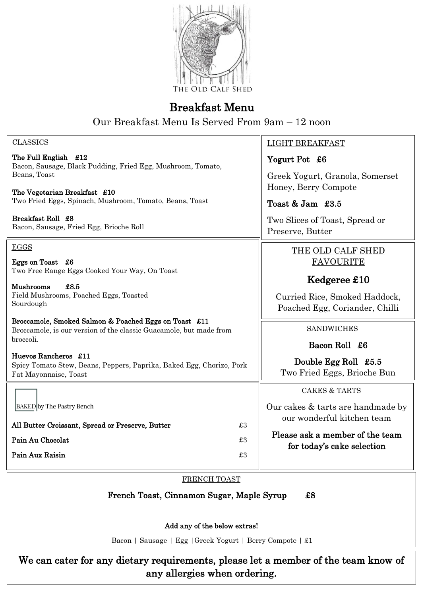

## Breakfast Menu

Our Breakfast Menu Is Served From 9am – 12 noon

| <b>CLASSICS</b>                                                                                                             | <b>LIGHT BREAKFAST</b>                                          |  |  |  |
|-----------------------------------------------------------------------------------------------------------------------------|-----------------------------------------------------------------|--|--|--|
| The Full English £12<br>Bacon, Sausage, Black Pudding, Fried Egg, Mushroom, Tomato,                                         | Yogurt Pot £6                                                   |  |  |  |
| Beans, Toast<br>The Vegetarian Breakfast £10                                                                                | Greek Yogurt, Granola, Somerset<br>Honey, Berry Compote         |  |  |  |
| Two Fried Eggs, Spinach, Mushroom, Tomato, Beans, Toast                                                                     | Toast & Jam £3.5                                                |  |  |  |
| Breakfast Roll £8<br>Bacon, Sausage, Fried Egg, Brioche Roll                                                                | Two Slices of Toast, Spread or<br>Preserve, Butter              |  |  |  |
| <b>EGGS</b>                                                                                                                 | THE OLD CALF SHED                                               |  |  |  |
| Eggs on Toast £6<br>Two Free Range Eggs Cooked Your Way, On Toast                                                           | <b>FAVOURITE</b>                                                |  |  |  |
| <b>Mushrooms</b><br>£8.5                                                                                                    | Kedgeree £10                                                    |  |  |  |
| Field Mushrooms, Poached Eggs, Toasted<br>Sourdough                                                                         | Curried Rice, Smoked Haddock,<br>Poached Egg, Coriander, Chilli |  |  |  |
| Broccamole, Smoked Salmon & Poached Eggs on Toast £11<br>Broccamole, is our version of the classic Guacamole, but made from | <b>SANDWICHES</b>                                               |  |  |  |
| broccoli.                                                                                                                   | Bacon Roll £6                                                   |  |  |  |
| Huevos Rancheros £11<br>Spicy Tomato Stew, Beans, Peppers, Paprika, Baked Egg, Chorizo, Pork<br>Fat Mayonnaise, Toast       | Double Egg Roll £5.5<br>Two Fried Eggs, Brioche Bun             |  |  |  |
|                                                                                                                             | <b>CAKES &amp; TARTS</b>                                        |  |  |  |
| <b>BAKED</b> by The Pastry Bench                                                                                            | Our cakes & tarts are handmade by<br>our wonderful kitchen team |  |  |  |
| $\pounds 3$<br>All Butter Croissant, Spread or Preserve, Butter                                                             | Please ask a member of the team                                 |  |  |  |
| Pain Au Chocolat<br>$\pounds 3$                                                                                             | for today's cake selection                                      |  |  |  |
| $\pounds3$<br>Pain Aux Raisin                                                                                               |                                                                 |  |  |  |
| FRENCH TOAST                                                                                                                |                                                                 |  |  |  |
| French Toast, Cinnamon Sugar, Maple Syrup<br>$\pmb{\mathfrak{g}}$                                                           |                                                                 |  |  |  |
| Add any of the below extras!                                                                                                |                                                                 |  |  |  |
|                                                                                                                             |                                                                 |  |  |  |

Bacon | Sausage | Egg |Greek Yogurt | Berry Compote | £1

We can cater for any dietary requirements, please let a member of the team know of any allergies when ordering.